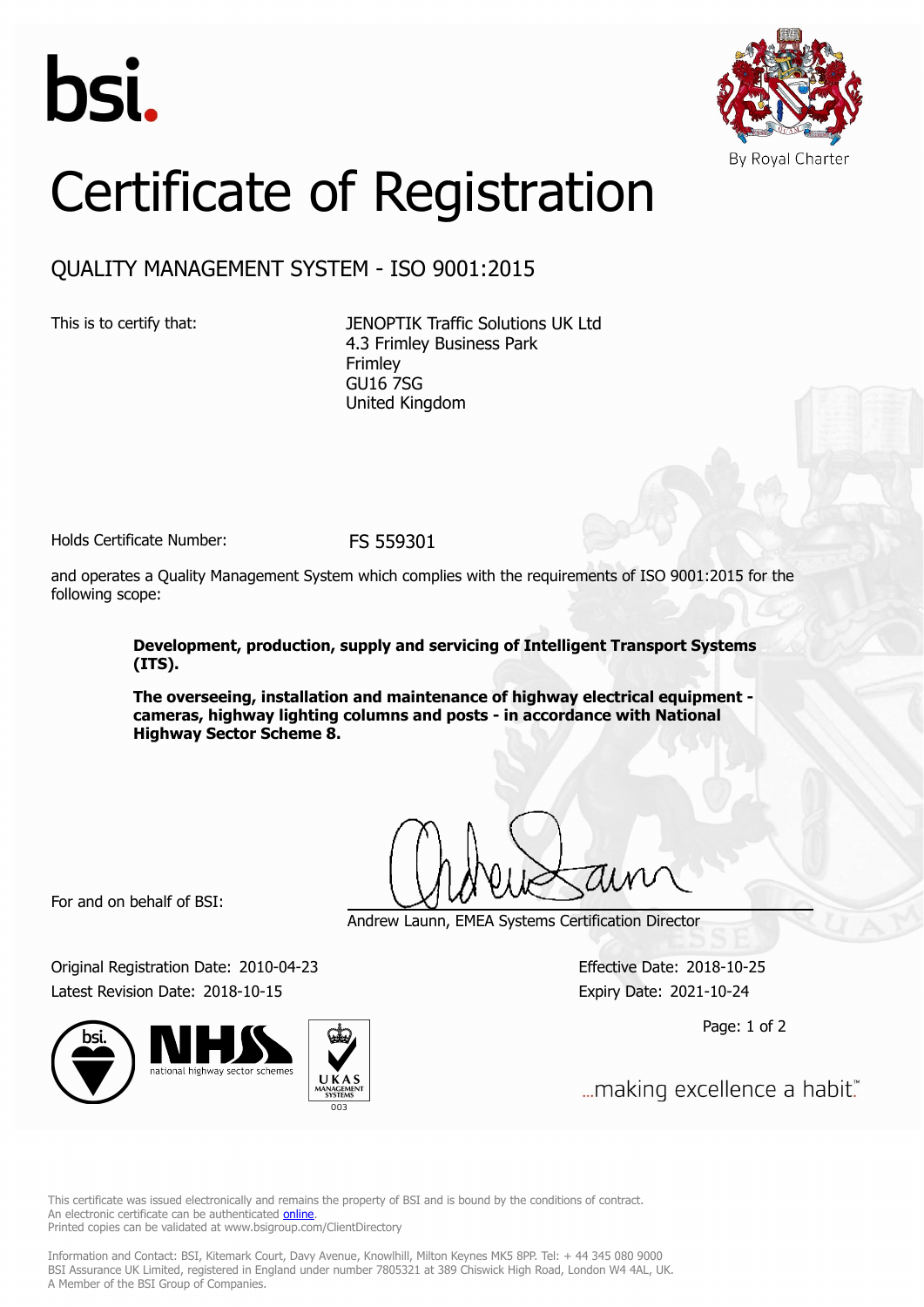



## Certificate of Registration

QUALITY MANAGEMENT SYSTEM - ISO 9001:2015

This is to certify that: JENOPTIK Traffic Solutions UK Ltd 4.3 Frimley Business Park Frimley GU16 7SG United Kingdom

Holds Certificate Number: FS 559301

and operates a Quality Management System which complies with the requirements of ISO 9001:2015 for the following scope:

> **Development, production, supply and servicing of Intelligent Transport Systems (ITS).**

> **The overseeing, installation and maintenance of highway electrical equipment cameras, highway lighting columns and posts - in accordance with National Highway Sector Scheme 8.**

For and on behalf of BSI:

Andrew Launn, EMEA Systems Certification Director

Original Registration Date: 2010-04-23 Effective Date: 2018-10-25 Latest Revision Date: 2018-10-15 Expiry Date: 2021-10-24





Page: 1 of 2

... making excellence a habit."

This certificate was issued electronically and remains the property of BSI and is bound by the conditions of contract. An electronic certificate can be authenticated **[online](https://pgplus.bsigroup.com/CertificateValidation/CertificateValidator.aspx?CertificateNumber=FS+559301&ReIssueDate=15%2f10%2f2018&Template=uk)**. Printed copies can be validated at www.bsigroup.com/ClientDirectory

Information and Contact: BSI, Kitemark Court, Davy Avenue, Knowlhill, Milton Keynes MK5 8PP. Tel: + 44 345 080 9000 BSI Assurance UK Limited, registered in England under number 7805321 at 389 Chiswick High Road, London W4 4AL, UK. A Member of the BSI Group of Companies.